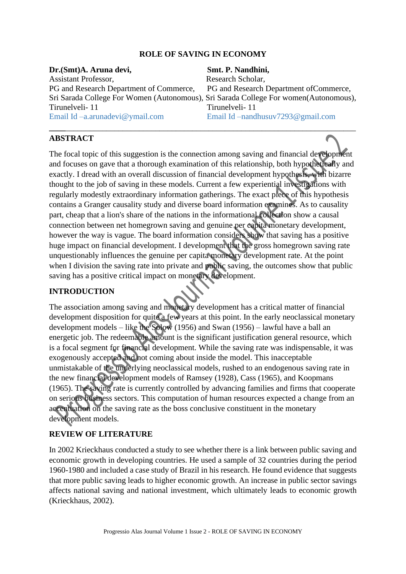## **ROLE OF SAVING IN ECONOMY**

| Dr. (Smt)A. Aruna devi,                                                               | Smt. P. Nandhini,                       |
|---------------------------------------------------------------------------------------|-----------------------------------------|
| <b>Assistant Professor,</b>                                                           | Research Scholar,                       |
| PG and Research Department of Commerce,                                               | PG and Research Department of Commerce, |
| Sri Sarada College For Women (Autonomous), Sri Sarada College For women (Autonomous), |                                         |
| Tirunelveli-11                                                                        | Tirunelveli-11                          |
| Email Id $-a$ . arunadevi@ymail.com                                                   | Email Id –nandhusuv7293@gmail.com       |
|                                                                                       |                                         |

#### **ABSTRACT**

The focal topic of this suggestion is the connection among saving and financial development and focuses on gave that a thorough examination of this relationship, both hypothetically and exactly. I dread with an overall discussion of financial development hypothesis, with bizarre thought to the job of saving in these models. Current a few experiential investigations with regularly modestly extraordinary information gatherings. The exact piece of this hypothesis contains a Granger causality study and diverse board information examines. As to causality part, cheap that a lion's share of the nations in the informational collection show a causal connection between net homegrown saving and genuine per capita monetary development, however the way is vague. The board information considers show that saving has a positive huge impact on financial development. I development that the gross homegrown saving rate unquestionably influences the genuine per capita monetary development rate. At the point when I division the saving rate into private and **public** saving, the outcomes show that public saving has a positive critical impact on monetary development.

#### **INTRODUCTION**

The association among saving and monetary development has a critical matter of financial development disposition for quite a few years at this point. In the early neoclassical monetary development models – like the Solow (1956) and Swan (1956) – lawful have a ball an energetic job. The redeemable amount is the significant justification general resource, which is a focal segment for financial development. While the saving rate was indispensable, it was exogenously accepted and not coming about inside the model. This inacceptable unmistakable of the underlying neoclassical models, rushed to an endogenous saving rate in the new financial development models of Ramsey (1928), Cass (1965), and Koopmans (1965). The saving rate is currently controlled by advancing families and firms that cooperate on serious business sectors. This computation of human resources expected a change from an accentuation on the saving rate as the boss conclusive constituent in the monetary development models.

#### **REVIEW OF LITERATURE**

In 2002 Krieckhaus conducted a study to see whether there is a link between public saving and economic growth in developing countries. He used a sample of 32 countries during the period 1960-1980 and included a case study of Brazil in his research. He found evidence that suggests that more public saving leads to higher economic growth. An increase in public sector savings affects national saving and national investment, which ultimately leads to economic growth (Krieckhaus, 2002).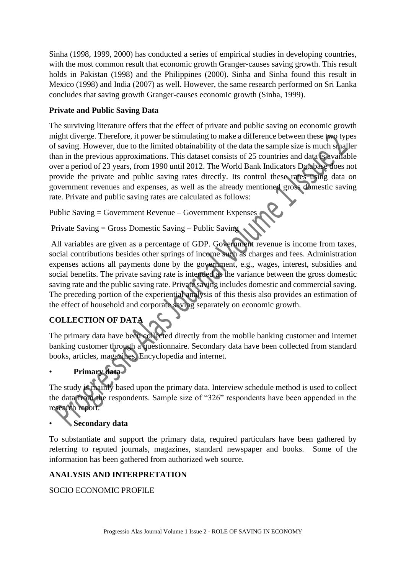Sinha (1998, 1999, 2000) has conducted a series of empirical studies in developing countries, with the most common result that economic growth Granger-causes saving growth. This result holds in Pakistan (1998) and the Philippines (2000). Sinha and Sinha found this result in Mexico (1998) and India (2007) as well. However, the same research performed on Sri Lanka concludes that saving growth Granger-causes economic growth (Sinha, 1999).

#### **Private and Public Saving Data**

The surviving literature offers that the effect of private and public saving on economic growth might diverge. Therefore, it power be stimulating to make a difference between these two types of saving. However, due to the limited obtainability of the data the sample size is much smaller than in the previous approximations. This dataset consists of 25 countries and data is available over a period of 23 years, from 1990 until 2012. The World Bank Indicators Database does not provide the private and public saving rates directly. Its control these rates using data on government revenues and expenses, as well as the already mentioned gross domestic saving rate. Private and public saving rates are calculated as follows:

Public Saving = Government Revenue – Government Expenses

Private Saving = Gross Domestic Saving – Public Saving

All variables are given as a percentage of GDP. Government revenue is income from taxes, social contributions besides other springs of income such as charges and fees. Administration expenses actions all payments done by the government, e.g., wages, interest, subsidies and social benefits. The private saving rate is intended as the variance between the gross domestic saving rate and the public saving rate. Private saving includes domestic and commercial saving. The preceding portion of the experiential analysis of this thesis also provides an estimation of the effect of household and corporate saving separately on economic growth.

## **COLLECTION OF DATA**

The primary data have been collected directly from the mobile banking customer and internet banking customer through a questionnaire. Secondary data have been collected from standard books, articles, magazines, Encyclopedia and internet.

## • **Primary data**

The study is mainly based upon the primary data. Interview schedule method is used to collect the data from the respondents. Sample size of "326" respondents have been appended in the research report.

## • **Secondary data**

To substantiate and support the primary data, required particulars have been gathered by referring to reputed journals, magazines, standard newspaper and books. Some of the information has been gathered from authorized web source.

## **ANALYSIS AND INTERPRETATION**

## SOCIO ECONOMIC PROFILE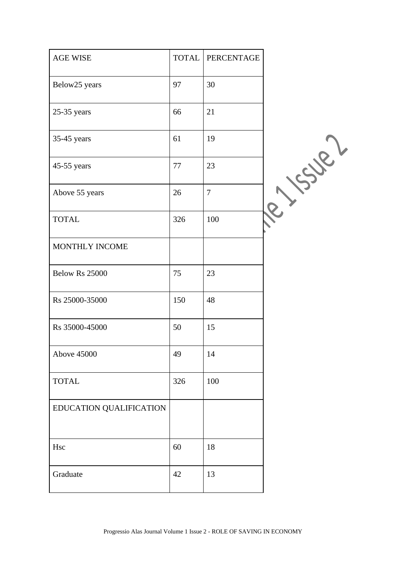| $\operatorname{AGE}$ WISE | <b>TOTAL</b> | PERCENTAGE     |       |
|---------------------------|--------------|----------------|-------|
| Below25 years             | 97           | 30             |       |
| $25-35$ years             | 66           | 21             |       |
| 35-45 years               | 61           | 19             |       |
| 45-55 years               | 77           | 23             | Super |
| Above 55 years            | 26           | $\overline{7}$ |       |
| <b>TOTAL</b>              | 326          | 100            |       |
| MONTHLY INCOME            |              |                |       |
| Below Rs 25000            | 75           | 23             |       |
| Rs 25000-35000            | 150          | 48             |       |
| Rs 35000-45000            | 50           | 15             |       |
| <b>Above 45000</b>        | 49           | 14             |       |
| <b>TOTAL</b>              | 326          | 100            |       |
| EDUCATION QUALIFICATION   |              |                |       |
| Hsc                       | 60           | 18             |       |
| Graduate                  | 42           | 13             |       |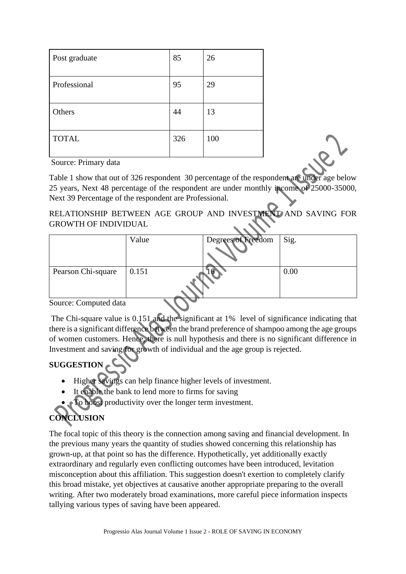| Post graduate | 85  | 26  |
|---------------|-----|-----|
| Professional  | 95  | 29  |
| Others        | 44  | 13  |
| <b>TOTAL</b>  | 326 | 100 |

Source: Primary data

Table 1 show that out of 326 respondent 30 percentage of the respondent are under age below 25 years, Next 48 percentage of the respondent are under monthly income of 25000-35000, Next 39 Percentage of the respondent are Professional.

## RELATIONSHIP BETWEEN AGE GROUP AND INVESTMENT AND SAVING FOR GROWTH OF INDIVIDUAL

|                       | Value | Degrees of Freedom | Sig. |
|-----------------------|-------|--------------------|------|
| Pearson Chi-square    | 0.151 |                    | 0.00 |
| Cource: Computed data |       |                    |      |

Source: Computed data

The Chi-square value is 0.151 and the significant at 1% level of significance indicating that there is a significant difference between the brand preference of shampoo among the age groups of women customers. Hence, there is null hypothesis and there is no significant difference in Investment and saving for growth of individual and the age group is rejected.

## **SUGGESTION**

- Higher savings can help finance higher levels of investment.
- It enable the bank to lend more to firms for saving
- To boost productivity over the longer term investment.

# **CONCLUSION**

The focal topic of this theory is the connection among saving and financial development. In the previous many years the quantity of studies showed concerning this relationship has grown-up, at that point so has the difference. Hypothetically, yet additionally exactly extraordinary and regularly even conflicting outcomes have been introduced, levitation misconception about this affiliation. This suggestion doesn't exertion to completely clarify this broad mistake, yet objectives at causative another appropriate preparing to the overall writing. After two moderately broad examinations, more careful piece information inspects tallying various types of saving have been appeared.